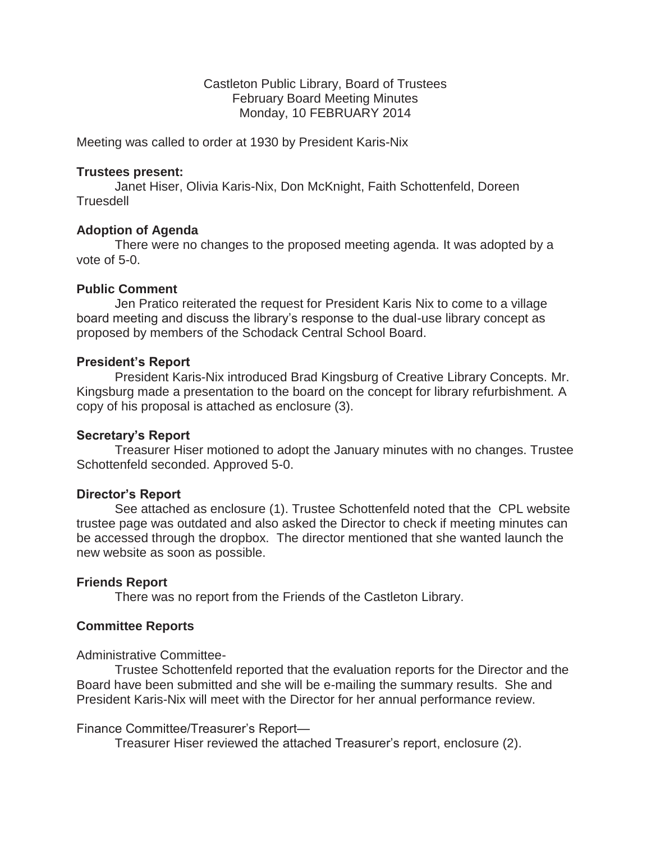Castleton Public Library, Board of Trustees February Board Meeting Minutes Monday, 10 FEBRUARY 2014

Meeting was called to order at 1930 by President Karis-Nix

#### **Trustees present:**

 Janet Hiser, Olivia Karis-Nix, Don McKnight, Faith Schottenfeld, Doreen **Truesdell** 

### **Adoption of Agenda**

 There were no changes to the proposed meeting agenda. It was adopted by a vote of 5-0.

## **Public Comment**

 Jen Pratico reiterated the request for President Karis Nix to come to a village board meeting and discuss the library's response to the dual-use library concept as proposed by members of the Schodack Central School Board.

### **President's Report**

 President Karis-Nix introduced Brad Kingsburg of Creative Library Concepts. Mr. Kingsburg made a presentation to the board on the concept for library refurbishment. A copy of his proposal is attached as enclosure (3).

### **Secretary's Report**

 Treasurer Hiser motioned to adopt the January minutes with no changes. Trustee Schottenfeld seconded. Approved 5-0.

#### **Director's Report**

 See attached as enclosure (1). Trustee Schottenfeld noted that the CPL website trustee page was outdated and also asked the Director to check if meeting minutes can be accessed through the dropbox. The director mentioned that she wanted launch the new website as soon as possible.

### **Friends Report**

There was no report from the Friends of the Castleton Library.

### **Committee Reports**

#### Administrative Committee-

 Trustee Schottenfeld reported that the evaluation reports for the Director and the Board have been submitted and she will be e-mailing the summary results. She and President Karis-Nix will meet with the Director for her annual performance review.

### Finance Committee/Treasurer's Report—

Treasurer Hiser reviewed the attached Treasurer's report, enclosure (2).